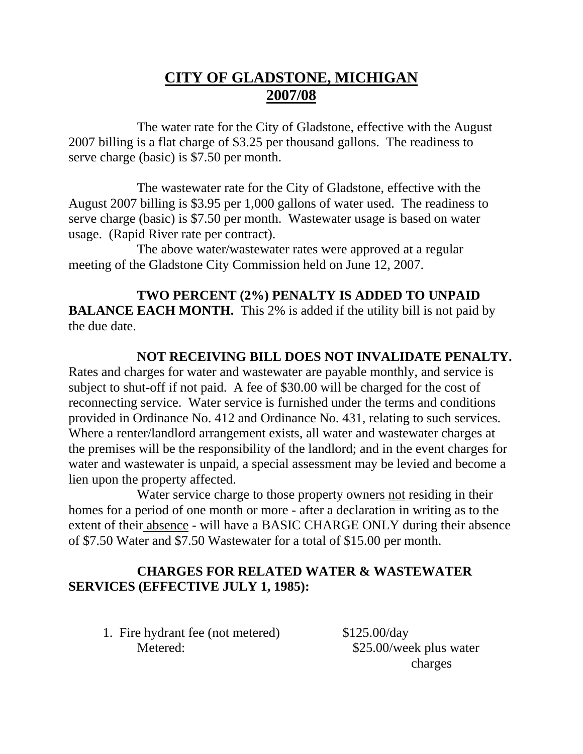## **CITY OF GLADSTONE, MICHIGAN 2007/08**

 The water rate for the City of Gladstone, effective with the August 2007 billing is a flat charge of \$3.25 per thousand gallons. The readiness to serve charge (basic) is \$7.50 per month.

 The wastewater rate for the City of Gladstone, effective with the August 2007 billing is \$3.95 per 1,000 gallons of water used. The readiness to serve charge (basic) is \$7.50 per month. Wastewater usage is based on water usage. (Rapid River rate per contract).

 The above water/wastewater rates were approved at a regular meeting of the Gladstone City Commission held on June 12, 2007.

## **TWO PERCENT (2%) PENALTY IS ADDED TO UNPAID**

**BALANCE EACH MONTH.** This 2% is added if the utility bill is not paid by the due date.

## **NOT RECEIVING BILL DOES NOT INVALIDATE PENALTY.**

Rates and charges for water and wastewater are payable monthly, and service is subject to shut-off if not paid. A fee of \$30.00 will be charged for the cost of reconnecting service. Water service is furnished under the terms and conditions provided in Ordinance No. 412 and Ordinance No. 431, relating to such services. Where a renter/landlord arrangement exists, all water and wastewater charges at the premises will be the responsibility of the landlord; and in the event charges for water and wastewater is unpaid, a special assessment may be levied and become a lien upon the property affected.

 Water service charge to those property owners not residing in their homes for a period of one month or more - after a declaration in writing as to the extent of their absence - will have a BASIC CHARGE ONLY during their absence of \$7.50 Water and \$7.50 Wastewater for a total of \$15.00 per month.

## **CHARGES FOR RELATED WATER & WASTEWATER SERVICES (EFFECTIVE JULY 1, 1985):**

 1. Fire hydrant fee (not metered) \$125.00/day Metered:  $$25.00/week$  plus water

charges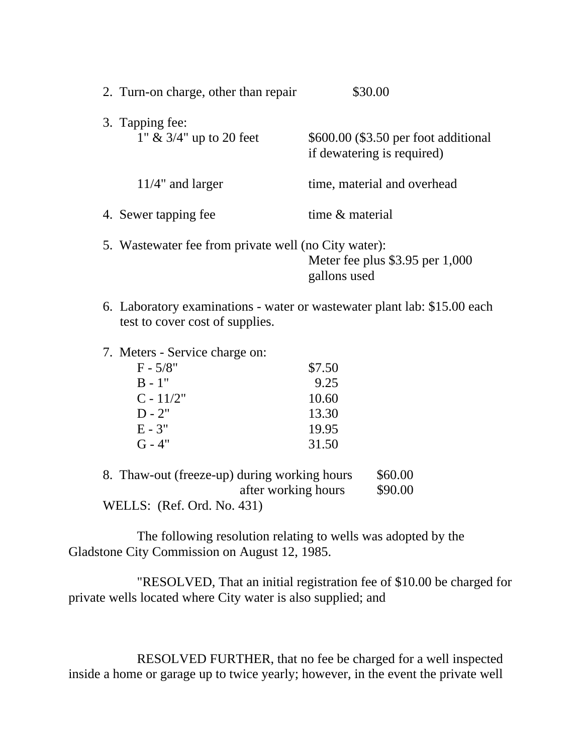| 2. Turn-on charge, other than repair                 | \$30.00                                                                  |
|------------------------------------------------------|--------------------------------------------------------------------------|
| 3. Tapping fee:<br>1" $\&$ 3/4" up to 20 feet        | \$600.00 (\$3.50 per foot additional<br>if dewatering is required)       |
| $11/4$ " and larger                                  | time, material and overhead                                              |
| 4. Sewer tapping fee                                 | time & material                                                          |
| 5. Wastewater fee from private well (no City water): | Meter fee plus $$3.95$ per 1,000<br>gallons used                         |
| test to cover cost of supplies.                      | 6. Laboratory examinations - water or wastewater plant lab: \$15.00 each |

7. Meters - Service charge on:

| $F - 5/8"$  | \$7.50 |
|-------------|--------|
| $B - 1"$    | 9.25   |
| $C - 11/2"$ | 10.60  |
| $D - 2"$    | 13.30  |
| $E - 3"$    | 19.95  |
| $G - 4"$    | 31.50  |

| 8. Thaw-out (freeze-up) during working hours | \$60.00 |
|----------------------------------------------|---------|
| after working hours                          | \$90.00 |
| WELLS: (Ref. Ord. No. 431)                   |         |

 The following resolution relating to wells was adopted by the Gladstone City Commission on August 12, 1985.

 "RESOLVED, That an initial registration fee of \$10.00 be charged for private wells located where City water is also supplied; and

 RESOLVED FURTHER, that no fee be charged for a well inspected inside a home or garage up to twice yearly; however, in the event the private well